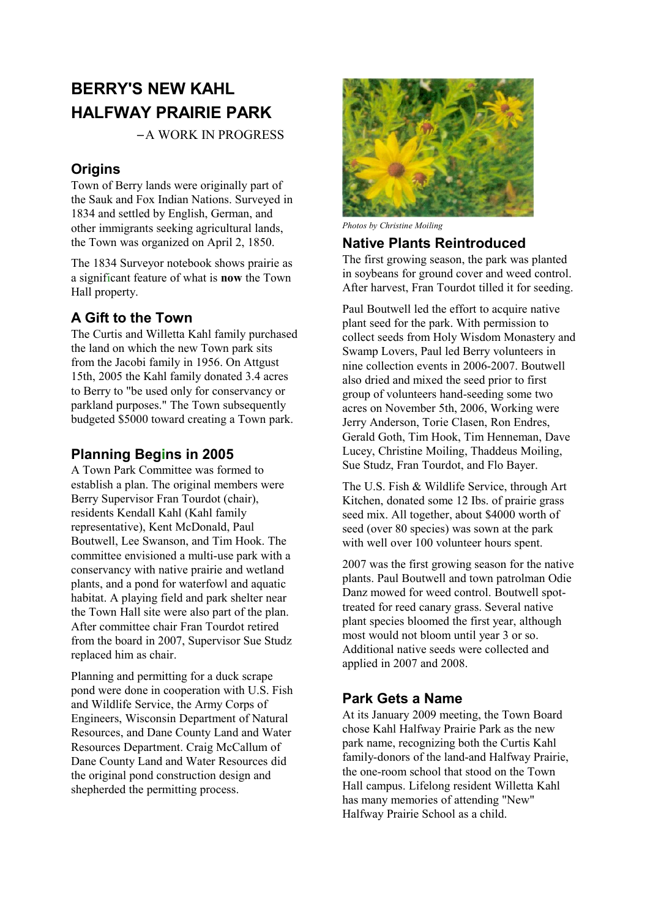# **BERRY'S NEW KAHL HALFWAY PRAIRIE PARK**

− A WORK IN PROGRESS

## **Origins**

Town of Berry lands were originally part of the Sauk and Fox Indian Nations. Surveyed in 1834 and settled by English, German, and other immigrants seeking agricultural lands, the Town was organized on April 2, 1850.

The 1834 Surveyor notebook shows prairie as a significant feature of what is **now** the Town Hall property.

## **A Gift to the Town**

The Curtis and Willetta Kahl family purchased the land on which the new Town park sits from the Jacobi family in 1956. On Attgust 15th, 2005 the Kahl family donated 3.4 acres to Berry to "be used only for conservancy or parkland purposes." The Town subsequently budgeted \$5000 toward creating a Town park.

### **Planning Begins in 2005**

A Town Park Committee was formed to establish a plan. The original members were Berry Supervisor Fran Tourdot (chair), residents Kendall Kahl (Kahl family representative), Kent McDonald, Paul Boutwell, Lee Swanson, and Tim Hook. The committee envisioned a multi-use park with a conservancy with native prairie and wetland plants, and a pond for waterfowl and aquatic habitat. A playing field and park shelter near the Town Hall site were also part of the plan. After committee chair Fran Tourdot retired from the board in 2007, Supervisor Sue Studz replaced him as chair.

Planning and permitting for a duck scrape pond were done in cooperation with U.S. Fish and Wildlife Service, the Army Corps of Engineers, Wisconsin Department of Natural Resources, and Dane County Land and Water Resources Department. Craig McCallum of Dane County Land and Water Resources did the original pond construction design and shepherded the permitting process.



*Photos by Christine Moiling*

#### **Native Plants Reintroduced**

The first growing season, the park was planted in soybeans for ground cover and weed control. After harvest, Fran Tourdot tilled it for seeding.

Paul Boutwell led the effort to acquire native plant seed for the park. With permission to collect seeds from Holy Wisdom Monastery and Swamp Lovers, Paul led Berry volunteers in nine collection events in 2006-2007. Boutwell also dried and mixed the seed prior to first group of volunteers hand-seeding some two acres on November 5th, 2006, Working were Jerry Anderson, Torie Clasen, Ron Endres, Gerald Goth, Tim Hook, Tim Henneman, Dave Lucey, Christine Moiling, Thaddeus Moiling, Sue Studz, Fran Tourdot, and Flo Bayer.

The U.S. Fish & Wildlife Service, through Art Kitchen, donated some 12 Ibs. of prairie grass seed mix. All together, about \$4000 worth of seed (over 80 species) was sown at the park with well over 100 volunteer hours spent.

2007 was the first growing season for the native plants. Paul Boutwell and town patrolman Odie Danz mowed for weed control. Boutwell spottreated for reed canary grass. Several native plant species bloomed the first year, although most would not bloom until year 3 or so. Additional native seeds were collected and applied in 2007 and 2008.

#### **Park Gets a Name**

At its January 2009 meeting, the Town Board chose Kahl Halfway Prairie Park as the new park name, recognizing both the Curtis Kahl family-donors of the land-and Halfway Prairie, the one-room school that stood on the Town Hall campus. Lifelong resident Willetta Kahl has many memories of attending "New" Halfway Prairie School as a child.